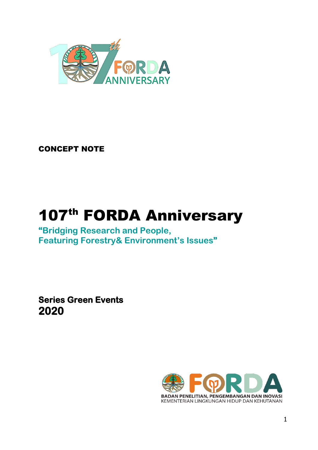

CONCEPT NOTE

# 107<sup>th</sup> FORDA Anniversary

**"Bridging Research and People, Featuring Forestry& Environment's Issues"** 

**Series Green Events 2020** 

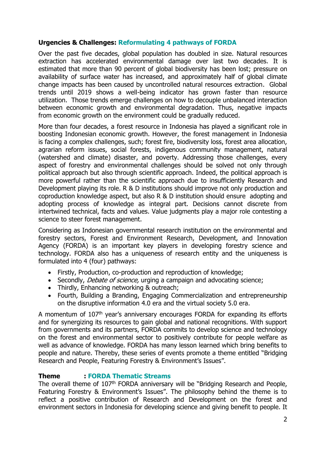## **Urgencies & Challenges: Reformulating 4 pathways of FORDA**

Over the past five decades, global population has doubled in size. Natural resources extraction has accelerated environmental damage over last two decades. It is estimated that more than 90 percent of global biodiversity has been lost; pressure on availability of surface water has increased, and approximately half of global climate change impacts has been caused by uncontrolled natural resources extraction. Global trends until 2019 shows a well-being indicator has grown faster than resource utilization. Those trends emerge challenges on how to decouple unbalanced interaction between economic growth and environmental degradation. Thus, negative impacts from economic growth on the environment could be gradually reduced.

More than four decades, a forest resource in Indonesia has played a significant role in boosting Indonesian economic growth. However, the forest management in Indonesia is facing a complex challenges, such; forest fire, biodiversity loss, forest area allocation, agrarian reform issues, social forests, indigenous community management, natural (watershed and climate) disaster, and poverty. Addressing those challenges, every aspect of forestry and environmental challenges should be solved not only through political approach but also through scientific approach. Indeed, the political approach is more powerful rather than the scientific approach due to insufficiently Research and Development playing its role. R & D institutions should improve not only production and coproduction knowledge aspect, but also R & D institution should ensure adopting and adopting process of knowledge as integral part. Decisions cannot discrete from intertwined technical, facts and values. Value judgments play a major role contesting a science to steer forest management.

Considering as Indonesian governmental research institution on the environmental and forestry sectors, Forest and Environment Research, Development, and Innovation Agency (FORDA) is an important key players in developing forestry science and technology. FORDA also has a uniqueness of research entity and the uniqueness is formulated into 4 (four) pathways:

- Firstly, Production, co-production and reproduction of knowledge;
- Secondly, *Debate of science*, urging a campaign and advocating science;
- Thirdly, Enhancing networking & outreach;
- Fourth, Building a Branding, Engaging Commercialization and entrepreneurship on the disruptive information 4.0 era and the virtual society 5.0 era.

A momentum of 107<sup>th</sup> year's anniversary encourages FORDA for expanding its efforts and for synergizing its resources to gain global and national recognitions. With support from governments and its partners, FORDA commits to develop science and technology on the forest and environmental sector to positively contribute for people welfare as well as advance of knowledge. FORDA has many lesson learned which bring benefits to people and nature. Thereby, these series of events promote a theme entitled "Bridging Research and People, Featuring Forestry & Environment's Issues".

## **Theme : FORDA Thematic Streams**

The overall theme of 107<sup>th</sup> FORDA anniversary will be "Bridging Research and People, Featuring Forestry & Environment's Issues". The philosophy behind the theme is to reflect a positive contribution of Research and Development on the forest and environment sectors in Indonesia for developing science and giving benefit to people. It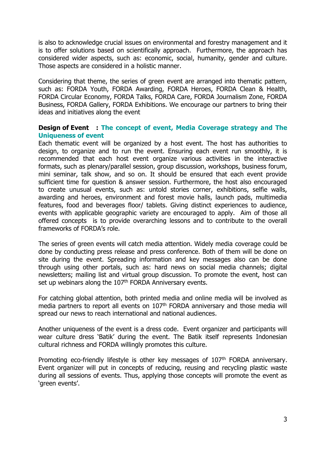is also to acknowledge crucial issues on environmental and forestry management and it is to offer solutions based on scientifically approach. Furthermore, the approach has considered wider aspects, such as: economic, social, humanity, gender and culture. Those aspects are considered in a holistic manner.

Considering that theme, the series of green event are arranged into thematic pattern, such as: FORDA Youth, FORDA Awarding, FORDA Heroes, FORDA Clean & Health, FORDA Circular Economy, FORDA Talks, FORDA Care, FORDA Journalism Zone, FORDA Business, FORDA Gallery, FORDA Exhibitions. We encourage our partners to bring their ideas and initiatives along the event

#### **Design of Event : The concept of event, Media Coverage strategy and The Uniqueness of event**

Each thematic event will be organized by a host event. The host has authorities to design, to organize and to run the event. Ensuring each event run smoothly, it is recommended that each host event organize various activities in the interactive formats, such as plenary/parallel session, group discussion, workshops, business forum, mini seminar, talk show, and so on. It should be ensured that each event provide sufficient time for question & answer session. Furthermore, the host also encouraged to create unusual events, such as: untold stories corner, exhibitions, selfie walls, awarding and heroes, environment and forest movie halls, launch pads, multimedia features, food and beverages floor/ tablets. Giving distinct experiences to audience, events with applicable geographic variety are encouraged to apply. Aim of those all offered concepts is to provide overarching lessons and to contribute to the overall frameworks of FORDA's role.

The series of green events will catch media attention. Widely media coverage could be done by conducting press release and press conference. Both of them will be done on site during the event. Spreading information and key messages also can be done through using other portals, such as: hard news on social media channels; digital newsletters; mailing list and virtual group discussion. To promote the event, host can set up webinars along the 107<sup>th</sup> FORDA Anniversary events.

For catching global attention, both printed media and online media will be involved as media partners to report all events on 107<sup>th</sup> FORDA anniversary and those media will spread our news to reach international and national audiences.

Another uniqueness of the event is a dress code. Event organizer and participants will wear culture dress 'Batik' during the event. The Batik itself represents Indonesian cultural richness and FORDA willingly promotes this culture.

Promoting eco-friendly lifestyle is other key messages of 107<sup>th</sup> FORDA anniversary. Event organizer will put in concepts of reducing, reusing and recycling plastic waste during all sessions of events. Thus, applying those concepts will promote the event as 'green events'.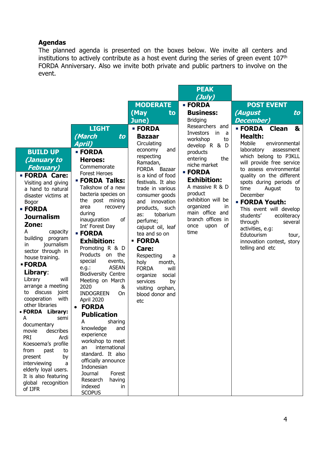## **Agendas**

The planned agenda is presented on the boxes below. We invite all centers and institutions to actively contribute as a host event during the series of green event 107th FORDA Anniversary. Also we invite both private and public partners to involve on the event.

| (July)<br><b>MODERATE</b><br><b>POST EVENT</b><br><b>EORDA</b><br>(May<br><b>Business:</b><br>(August<br>to<br>to<br><b>Bridging</b><br><b>December)</b><br>June)<br>Researchers and<br><b>LIGHT</b><br><b>EORDA</b><br><b>EORDA</b><br><b>Clean</b><br>&<br>Investors<br>in<br>- a<br>(March<br><b>Health:</b><br>to<br><b>Bazaar</b><br>workshop<br>to<br>Mobile<br>April)<br>Circulating<br>environmental<br>develop R & D<br>laboratory<br>economy<br>assessment<br>and<br><b>BUILD UP</b><br><b>EORDA</b><br>products<br>which belong to P3KLL<br>respecting<br>entering<br>the<br>(January to<br>Heroes:<br>Ramadan,<br>will provide free service<br>niche market<br>Commemorate<br><b>February</b> )<br><b>FORDA</b><br>Bazaar<br>to assess environmental<br><b>- FORDA</b><br><b>Forest Heroes</b><br><b>• FORDA Care:</b><br>is a kind of food<br>quality on the different<br><b>Exhibition:</b><br><b>- FORDA Talks:</b><br>festivals. It also<br>spots during periods of<br>Visiting and giving<br>A massive R & D<br>Talkshow of a new<br>trade in various<br>time<br>August<br>a hand to natural<br>to<br>product<br>bacteria species on<br>consumer goods<br>December<br>disaster victims at<br>exhibition will be<br>the post mining<br>innovation<br>and<br><b>- FORDA Youth:</b><br><b>Bogor</b><br>organized<br>in<br>area<br>recovery<br>products, such<br><b>EORDA</b><br>This event will develop<br>main office and<br>during<br>tobarium<br>as:<br>students'<br>ecoliteracy<br><b>Journalism</b><br>branch offices in<br>of<br>inauguration<br>perfume;<br>through<br>several<br>Zone:<br>of<br>once<br>Int' Forest Day<br>upon<br>cajuput oil, leaf<br>activities, e.g:<br>A<br>capacity<br>time<br><b>EORDA</b><br>tea and so on<br>Edutourism<br>tour,<br>building<br>program<br><b>- FORDA</b><br><b>Exhibition:</b><br>innovation contest, story<br>journalism<br>in.<br>Promoting R & D<br>telling and etc<br>Care:<br>sector through in<br>Products<br>on the<br>Respecting<br>a<br>house training.<br>special<br>events,<br>holy<br>month,<br><b>- FORDA</b><br><b>ASEAN</b><br>e.g.:<br><b>FORDA</b><br>will<br>Library:<br><b>Biodiversity Centre</b><br>social<br>organize<br>Library<br>will<br>Meeting on March<br>services<br>by<br>arrange a meeting<br>2020<br>&<br>visiting orphan,<br>to discuss<br>joint<br><b>INDOGREEN</b><br>On<br>blood donor and<br>with<br>cooperation<br>April 2020<br>etc<br>other libraries<br><b>FORDA</b><br>$\bullet$<br>• FORDA Library:<br><b>Publication</b><br>А<br>semi<br>А<br>sharing<br>documentary<br>knowledge<br>and<br>describes<br>movie<br>experience<br><b>PRI</b><br>Ardi<br>workshop to meet<br>Koesoema's profile<br>international<br>an<br>from<br>past<br>to<br>standard. It also<br>present<br>by<br>officially announce<br>interviewing<br>a<br>Indonesian<br>elderly loyal users.<br>Journal<br>Forest<br>It is also featuring<br>Research<br>having<br>global recognition<br>indexed<br>in |         |  | <b>PEAK</b> |  |
|-----------------------------------------------------------------------------------------------------------------------------------------------------------------------------------------------------------------------------------------------------------------------------------------------------------------------------------------------------------------------------------------------------------------------------------------------------------------------------------------------------------------------------------------------------------------------------------------------------------------------------------------------------------------------------------------------------------------------------------------------------------------------------------------------------------------------------------------------------------------------------------------------------------------------------------------------------------------------------------------------------------------------------------------------------------------------------------------------------------------------------------------------------------------------------------------------------------------------------------------------------------------------------------------------------------------------------------------------------------------------------------------------------------------------------------------------------------------------------------------------------------------------------------------------------------------------------------------------------------------------------------------------------------------------------------------------------------------------------------------------------------------------------------------------------------------------------------------------------------------------------------------------------------------------------------------------------------------------------------------------------------------------------------------------------------------------------------------------------------------------------------------------------------------------------------------------------------------------------------------------------------------------------------------------------------------------------------------------------------------------------------------------------------------------------------------------------------------------------------------------------------------------------------------------------------------------------------------------------------------------------------------------------------------------------------------------------------------------------------------------------------------------------------------------------------------------------------------------------------------------------------------------------------------------------------------------------------------------------------------|---------|--|-------------|--|
|                                                                                                                                                                                                                                                                                                                                                                                                                                                                                                                                                                                                                                                                                                                                                                                                                                                                                                                                                                                                                                                                                                                                                                                                                                                                                                                                                                                                                                                                                                                                                                                                                                                                                                                                                                                                                                                                                                                                                                                                                                                                                                                                                                                                                                                                                                                                                                                                                                                                                                                                                                                                                                                                                                                                                                                                                                                                                                                                                                                         |         |  |             |  |
|                                                                                                                                                                                                                                                                                                                                                                                                                                                                                                                                                                                                                                                                                                                                                                                                                                                                                                                                                                                                                                                                                                                                                                                                                                                                                                                                                                                                                                                                                                                                                                                                                                                                                                                                                                                                                                                                                                                                                                                                                                                                                                                                                                                                                                                                                                                                                                                                                                                                                                                                                                                                                                                                                                                                                                                                                                                                                                                                                                                         |         |  |             |  |
|                                                                                                                                                                                                                                                                                                                                                                                                                                                                                                                                                                                                                                                                                                                                                                                                                                                                                                                                                                                                                                                                                                                                                                                                                                                                                                                                                                                                                                                                                                                                                                                                                                                                                                                                                                                                                                                                                                                                                                                                                                                                                                                                                                                                                                                                                                                                                                                                                                                                                                                                                                                                                                                                                                                                                                                                                                                                                                                                                                                         |         |  |             |  |
|                                                                                                                                                                                                                                                                                                                                                                                                                                                                                                                                                                                                                                                                                                                                                                                                                                                                                                                                                                                                                                                                                                                                                                                                                                                                                                                                                                                                                                                                                                                                                                                                                                                                                                                                                                                                                                                                                                                                                                                                                                                                                                                                                                                                                                                                                                                                                                                                                                                                                                                                                                                                                                                                                                                                                                                                                                                                                                                                                                                         |         |  |             |  |
|                                                                                                                                                                                                                                                                                                                                                                                                                                                                                                                                                                                                                                                                                                                                                                                                                                                                                                                                                                                                                                                                                                                                                                                                                                                                                                                                                                                                                                                                                                                                                                                                                                                                                                                                                                                                                                                                                                                                                                                                                                                                                                                                                                                                                                                                                                                                                                                                                                                                                                                                                                                                                                                                                                                                                                                                                                                                                                                                                                                         |         |  |             |  |
|                                                                                                                                                                                                                                                                                                                                                                                                                                                                                                                                                                                                                                                                                                                                                                                                                                                                                                                                                                                                                                                                                                                                                                                                                                                                                                                                                                                                                                                                                                                                                                                                                                                                                                                                                                                                                                                                                                                                                                                                                                                                                                                                                                                                                                                                                                                                                                                                                                                                                                                                                                                                                                                                                                                                                                                                                                                                                                                                                                                         |         |  |             |  |
|                                                                                                                                                                                                                                                                                                                                                                                                                                                                                                                                                                                                                                                                                                                                                                                                                                                                                                                                                                                                                                                                                                                                                                                                                                                                                                                                                                                                                                                                                                                                                                                                                                                                                                                                                                                                                                                                                                                                                                                                                                                                                                                                                                                                                                                                                                                                                                                                                                                                                                                                                                                                                                                                                                                                                                                                                                                                                                                                                                                         |         |  |             |  |
|                                                                                                                                                                                                                                                                                                                                                                                                                                                                                                                                                                                                                                                                                                                                                                                                                                                                                                                                                                                                                                                                                                                                                                                                                                                                                                                                                                                                                                                                                                                                                                                                                                                                                                                                                                                                                                                                                                                                                                                                                                                                                                                                                                                                                                                                                                                                                                                                                                                                                                                                                                                                                                                                                                                                                                                                                                                                                                                                                                                         |         |  |             |  |
|                                                                                                                                                                                                                                                                                                                                                                                                                                                                                                                                                                                                                                                                                                                                                                                                                                                                                                                                                                                                                                                                                                                                                                                                                                                                                                                                                                                                                                                                                                                                                                                                                                                                                                                                                                                                                                                                                                                                                                                                                                                                                                                                                                                                                                                                                                                                                                                                                                                                                                                                                                                                                                                                                                                                                                                                                                                                                                                                                                                         |         |  |             |  |
|                                                                                                                                                                                                                                                                                                                                                                                                                                                                                                                                                                                                                                                                                                                                                                                                                                                                                                                                                                                                                                                                                                                                                                                                                                                                                                                                                                                                                                                                                                                                                                                                                                                                                                                                                                                                                                                                                                                                                                                                                                                                                                                                                                                                                                                                                                                                                                                                                                                                                                                                                                                                                                                                                                                                                                                                                                                                                                                                                                                         |         |  |             |  |
|                                                                                                                                                                                                                                                                                                                                                                                                                                                                                                                                                                                                                                                                                                                                                                                                                                                                                                                                                                                                                                                                                                                                                                                                                                                                                                                                                                                                                                                                                                                                                                                                                                                                                                                                                                                                                                                                                                                                                                                                                                                                                                                                                                                                                                                                                                                                                                                                                                                                                                                                                                                                                                                                                                                                                                                                                                                                                                                                                                                         |         |  |             |  |
|                                                                                                                                                                                                                                                                                                                                                                                                                                                                                                                                                                                                                                                                                                                                                                                                                                                                                                                                                                                                                                                                                                                                                                                                                                                                                                                                                                                                                                                                                                                                                                                                                                                                                                                                                                                                                                                                                                                                                                                                                                                                                                                                                                                                                                                                                                                                                                                                                                                                                                                                                                                                                                                                                                                                                                                                                                                                                                                                                                                         |         |  |             |  |
|                                                                                                                                                                                                                                                                                                                                                                                                                                                                                                                                                                                                                                                                                                                                                                                                                                                                                                                                                                                                                                                                                                                                                                                                                                                                                                                                                                                                                                                                                                                                                                                                                                                                                                                                                                                                                                                                                                                                                                                                                                                                                                                                                                                                                                                                                                                                                                                                                                                                                                                                                                                                                                                                                                                                                                                                                                                                                                                                                                                         |         |  |             |  |
|                                                                                                                                                                                                                                                                                                                                                                                                                                                                                                                                                                                                                                                                                                                                                                                                                                                                                                                                                                                                                                                                                                                                                                                                                                                                                                                                                                                                                                                                                                                                                                                                                                                                                                                                                                                                                                                                                                                                                                                                                                                                                                                                                                                                                                                                                                                                                                                                                                                                                                                                                                                                                                                                                                                                                                                                                                                                                                                                                                                         |         |  |             |  |
|                                                                                                                                                                                                                                                                                                                                                                                                                                                                                                                                                                                                                                                                                                                                                                                                                                                                                                                                                                                                                                                                                                                                                                                                                                                                                                                                                                                                                                                                                                                                                                                                                                                                                                                                                                                                                                                                                                                                                                                                                                                                                                                                                                                                                                                                                                                                                                                                                                                                                                                                                                                                                                                                                                                                                                                                                                                                                                                                                                                         |         |  |             |  |
|                                                                                                                                                                                                                                                                                                                                                                                                                                                                                                                                                                                                                                                                                                                                                                                                                                                                                                                                                                                                                                                                                                                                                                                                                                                                                                                                                                                                                                                                                                                                                                                                                                                                                                                                                                                                                                                                                                                                                                                                                                                                                                                                                                                                                                                                                                                                                                                                                                                                                                                                                                                                                                                                                                                                                                                                                                                                                                                                                                                         |         |  |             |  |
|                                                                                                                                                                                                                                                                                                                                                                                                                                                                                                                                                                                                                                                                                                                                                                                                                                                                                                                                                                                                                                                                                                                                                                                                                                                                                                                                                                                                                                                                                                                                                                                                                                                                                                                                                                                                                                                                                                                                                                                                                                                                                                                                                                                                                                                                                                                                                                                                                                                                                                                                                                                                                                                                                                                                                                                                                                                                                                                                                                                         |         |  |             |  |
|                                                                                                                                                                                                                                                                                                                                                                                                                                                                                                                                                                                                                                                                                                                                                                                                                                                                                                                                                                                                                                                                                                                                                                                                                                                                                                                                                                                                                                                                                                                                                                                                                                                                                                                                                                                                                                                                                                                                                                                                                                                                                                                                                                                                                                                                                                                                                                                                                                                                                                                                                                                                                                                                                                                                                                                                                                                                                                                                                                                         |         |  |             |  |
|                                                                                                                                                                                                                                                                                                                                                                                                                                                                                                                                                                                                                                                                                                                                                                                                                                                                                                                                                                                                                                                                                                                                                                                                                                                                                                                                                                                                                                                                                                                                                                                                                                                                                                                                                                                                                                                                                                                                                                                                                                                                                                                                                                                                                                                                                                                                                                                                                                                                                                                                                                                                                                                                                                                                                                                                                                                                                                                                                                                         |         |  |             |  |
|                                                                                                                                                                                                                                                                                                                                                                                                                                                                                                                                                                                                                                                                                                                                                                                                                                                                                                                                                                                                                                                                                                                                                                                                                                                                                                                                                                                                                                                                                                                                                                                                                                                                                                                                                                                                                                                                                                                                                                                                                                                                                                                                                                                                                                                                                                                                                                                                                                                                                                                                                                                                                                                                                                                                                                                                                                                                                                                                                                                         |         |  |             |  |
|                                                                                                                                                                                                                                                                                                                                                                                                                                                                                                                                                                                                                                                                                                                                                                                                                                                                                                                                                                                                                                                                                                                                                                                                                                                                                                                                                                                                                                                                                                                                                                                                                                                                                                                                                                                                                                                                                                                                                                                                                                                                                                                                                                                                                                                                                                                                                                                                                                                                                                                                                                                                                                                                                                                                                                                                                                                                                                                                                                                         |         |  |             |  |
|                                                                                                                                                                                                                                                                                                                                                                                                                                                                                                                                                                                                                                                                                                                                                                                                                                                                                                                                                                                                                                                                                                                                                                                                                                                                                                                                                                                                                                                                                                                                                                                                                                                                                                                                                                                                                                                                                                                                                                                                                                                                                                                                                                                                                                                                                                                                                                                                                                                                                                                                                                                                                                                                                                                                                                                                                                                                                                                                                                                         |         |  |             |  |
|                                                                                                                                                                                                                                                                                                                                                                                                                                                                                                                                                                                                                                                                                                                                                                                                                                                                                                                                                                                                                                                                                                                                                                                                                                                                                                                                                                                                                                                                                                                                                                                                                                                                                                                                                                                                                                                                                                                                                                                                                                                                                                                                                                                                                                                                                                                                                                                                                                                                                                                                                                                                                                                                                                                                                                                                                                                                                                                                                                                         |         |  |             |  |
|                                                                                                                                                                                                                                                                                                                                                                                                                                                                                                                                                                                                                                                                                                                                                                                                                                                                                                                                                                                                                                                                                                                                                                                                                                                                                                                                                                                                                                                                                                                                                                                                                                                                                                                                                                                                                                                                                                                                                                                                                                                                                                                                                                                                                                                                                                                                                                                                                                                                                                                                                                                                                                                                                                                                                                                                                                                                                                                                                                                         |         |  |             |  |
|                                                                                                                                                                                                                                                                                                                                                                                                                                                                                                                                                                                                                                                                                                                                                                                                                                                                                                                                                                                                                                                                                                                                                                                                                                                                                                                                                                                                                                                                                                                                                                                                                                                                                                                                                                                                                                                                                                                                                                                                                                                                                                                                                                                                                                                                                                                                                                                                                                                                                                                                                                                                                                                                                                                                                                                                                                                                                                                                                                                         |         |  |             |  |
|                                                                                                                                                                                                                                                                                                                                                                                                                                                                                                                                                                                                                                                                                                                                                                                                                                                                                                                                                                                                                                                                                                                                                                                                                                                                                                                                                                                                                                                                                                                                                                                                                                                                                                                                                                                                                                                                                                                                                                                                                                                                                                                                                                                                                                                                                                                                                                                                                                                                                                                                                                                                                                                                                                                                                                                                                                                                                                                                                                                         |         |  |             |  |
|                                                                                                                                                                                                                                                                                                                                                                                                                                                                                                                                                                                                                                                                                                                                                                                                                                                                                                                                                                                                                                                                                                                                                                                                                                                                                                                                                                                                                                                                                                                                                                                                                                                                                                                                                                                                                                                                                                                                                                                                                                                                                                                                                                                                                                                                                                                                                                                                                                                                                                                                                                                                                                                                                                                                                                                                                                                                                                                                                                                         |         |  |             |  |
|                                                                                                                                                                                                                                                                                                                                                                                                                                                                                                                                                                                                                                                                                                                                                                                                                                                                                                                                                                                                                                                                                                                                                                                                                                                                                                                                                                                                                                                                                                                                                                                                                                                                                                                                                                                                                                                                                                                                                                                                                                                                                                                                                                                                                                                                                                                                                                                                                                                                                                                                                                                                                                                                                                                                                                                                                                                                                                                                                                                         |         |  |             |  |
|                                                                                                                                                                                                                                                                                                                                                                                                                                                                                                                                                                                                                                                                                                                                                                                                                                                                                                                                                                                                                                                                                                                                                                                                                                                                                                                                                                                                                                                                                                                                                                                                                                                                                                                                                                                                                                                                                                                                                                                                                                                                                                                                                                                                                                                                                                                                                                                                                                                                                                                                                                                                                                                                                                                                                                                                                                                                                                                                                                                         |         |  |             |  |
|                                                                                                                                                                                                                                                                                                                                                                                                                                                                                                                                                                                                                                                                                                                                                                                                                                                                                                                                                                                                                                                                                                                                                                                                                                                                                                                                                                                                                                                                                                                                                                                                                                                                                                                                                                                                                                                                                                                                                                                                                                                                                                                                                                                                                                                                                                                                                                                                                                                                                                                                                                                                                                                                                                                                                                                                                                                                                                                                                                                         |         |  |             |  |
|                                                                                                                                                                                                                                                                                                                                                                                                                                                                                                                                                                                                                                                                                                                                                                                                                                                                                                                                                                                                                                                                                                                                                                                                                                                                                                                                                                                                                                                                                                                                                                                                                                                                                                                                                                                                                                                                                                                                                                                                                                                                                                                                                                                                                                                                                                                                                                                                                                                                                                                                                                                                                                                                                                                                                                                                                                                                                                                                                                                         |         |  |             |  |
|                                                                                                                                                                                                                                                                                                                                                                                                                                                                                                                                                                                                                                                                                                                                                                                                                                                                                                                                                                                                                                                                                                                                                                                                                                                                                                                                                                                                                                                                                                                                                                                                                                                                                                                                                                                                                                                                                                                                                                                                                                                                                                                                                                                                                                                                                                                                                                                                                                                                                                                                                                                                                                                                                                                                                                                                                                                                                                                                                                                         |         |  |             |  |
|                                                                                                                                                                                                                                                                                                                                                                                                                                                                                                                                                                                                                                                                                                                                                                                                                                                                                                                                                                                                                                                                                                                                                                                                                                                                                                                                                                                                                                                                                                                                                                                                                                                                                                                                                                                                                                                                                                                                                                                                                                                                                                                                                                                                                                                                                                                                                                                                                                                                                                                                                                                                                                                                                                                                                                                                                                                                                                                                                                                         |         |  |             |  |
|                                                                                                                                                                                                                                                                                                                                                                                                                                                                                                                                                                                                                                                                                                                                                                                                                                                                                                                                                                                                                                                                                                                                                                                                                                                                                                                                                                                                                                                                                                                                                                                                                                                                                                                                                                                                                                                                                                                                                                                                                                                                                                                                                                                                                                                                                                                                                                                                                                                                                                                                                                                                                                                                                                                                                                                                                                                                                                                                                                                         |         |  |             |  |
|                                                                                                                                                                                                                                                                                                                                                                                                                                                                                                                                                                                                                                                                                                                                                                                                                                                                                                                                                                                                                                                                                                                                                                                                                                                                                                                                                                                                                                                                                                                                                                                                                                                                                                                                                                                                                                                                                                                                                                                                                                                                                                                                                                                                                                                                                                                                                                                                                                                                                                                                                                                                                                                                                                                                                                                                                                                                                                                                                                                         |         |  |             |  |
|                                                                                                                                                                                                                                                                                                                                                                                                                                                                                                                                                                                                                                                                                                                                                                                                                                                                                                                                                                                                                                                                                                                                                                                                                                                                                                                                                                                                                                                                                                                                                                                                                                                                                                                                                                                                                                                                                                                                                                                                                                                                                                                                                                                                                                                                                                                                                                                                                                                                                                                                                                                                                                                                                                                                                                                                                                                                                                                                                                                         |         |  |             |  |
|                                                                                                                                                                                                                                                                                                                                                                                                                                                                                                                                                                                                                                                                                                                                                                                                                                                                                                                                                                                                                                                                                                                                                                                                                                                                                                                                                                                                                                                                                                                                                                                                                                                                                                                                                                                                                                                                                                                                                                                                                                                                                                                                                                                                                                                                                                                                                                                                                                                                                                                                                                                                                                                                                                                                                                                                                                                                                                                                                                                         |         |  |             |  |
|                                                                                                                                                                                                                                                                                                                                                                                                                                                                                                                                                                                                                                                                                                                                                                                                                                                                                                                                                                                                                                                                                                                                                                                                                                                                                                                                                                                                                                                                                                                                                                                                                                                                                                                                                                                                                                                                                                                                                                                                                                                                                                                                                                                                                                                                                                                                                                                                                                                                                                                                                                                                                                                                                                                                                                                                                                                                                                                                                                                         |         |  |             |  |
|                                                                                                                                                                                                                                                                                                                                                                                                                                                                                                                                                                                                                                                                                                                                                                                                                                                                                                                                                                                                                                                                                                                                                                                                                                                                                                                                                                                                                                                                                                                                                                                                                                                                                                                                                                                                                                                                                                                                                                                                                                                                                                                                                                                                                                                                                                                                                                                                                                                                                                                                                                                                                                                                                                                                                                                                                                                                                                                                                                                         |         |  |             |  |
| <b>SCOPUS</b>                                                                                                                                                                                                                                                                                                                                                                                                                                                                                                                                                                                                                                                                                                                                                                                                                                                                                                                                                                                                                                                                                                                                                                                                                                                                                                                                                                                                                                                                                                                                                                                                                                                                                                                                                                                                                                                                                                                                                                                                                                                                                                                                                                                                                                                                                                                                                                                                                                                                                                                                                                                                                                                                                                                                                                                                                                                                                                                                                                           | of IJFR |  |             |  |